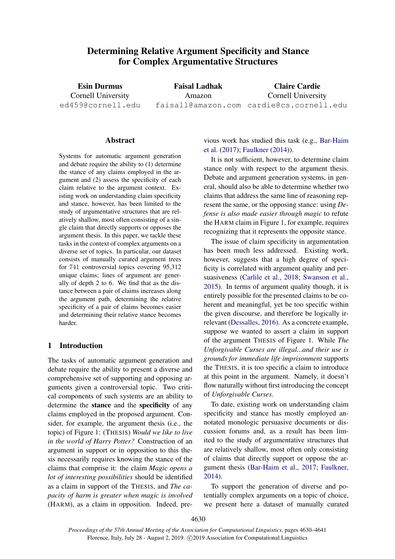# Determining Relative Argument Specificity and Stance for Complex Argumentative Structures

Esin Durmus Cornell University ed459@cornell.edu

Faisal Ladhak Amazon faisall@amazon.com cardie@cs.cornell.edu Claire Cardie Cornell University

#### **Abstract**

Systems for automatic argument generation and debate require the ability to (1) determine the stance of any claims employed in the argument and (2) assess the specificity of each claim relative to the argument context. Existing work on understanding claim specificity and stance, however, has been limited to the study of argumentative structures that are relatively shallow, most often consisting of a single claim that directly supports or opposes the argument thesis. In this paper, we tackle these tasks in the context of complex arguments on a diverse set of topics. In particular, our dataset consists of manually curated argument trees for 741 controversial topics covering 95,312 unique claims; lines of argument are generally of depth 2 to 6. We find that as the distance between a pair of claims increases along the argument path, determining the relative specificity of a pair of claims becomes easier and determining their relative stance becomes harder.

## 1 Introduction

The tasks of automatic argument generation and debate require the ability to present a diverse and comprehensive set of supporting and opposing arguments given a controversial topic. Two critical components of such systems are an ability to determine the stance and the specificity of any claims employed in the proposed argument. Consider, for example, the argument thesis (i.e., the topic) of Figure [1:](#page-1-0) (THESIS) *Would we like to live in the world of Harry Potter?* Construction of an argument in support or in opposition to this thesis necessarily requires knowing the stance of the claims that comprise it: the claim *Magic opens a lot of interesting possibilities* should be identified as a claim in support of the THESIS, and *The capacity of harm is greater when magic is involved* (HARM), as a claim in opposition. Indeed, previous work has studied this task (e.g., [Bar-Haim](#page-8-0) [et al.](#page-8-0) [\(2017\)](#page-8-0); [Faulkner](#page-9-0) [\(2014\)](#page-9-0)).

It is not sufficient, however, to determine claim stance only with respect to the argument thesis. Debate and argument generation systems, in general, should also be able to determine whether two claims that address the same line of reasoning represent the same, or the opposing stance: using *Defense is also made easier through magic* to refute the HARM claim in Figure [1,](#page-1-0) for example, requires recognizing that it represents the opposite stance.

The issue of claim specificity in argumentation has been much less addressed. Existing work, however, suggests that a high degree of specificity is correlated with argument quality and persuasiveness [\(Carlile et al.,](#page-8-1) [2018;](#page-8-1) [Swanson et al.,](#page-10-0) [2015\)](#page-10-0). In terms of argument quality though, it is entirely possible for the presented claims to be coherent and meaningful, yet be too specific within the given discourse, and therefore be logically irrelevant [\(Dessalles,](#page-8-2) [2016\)](#page-8-2). As a concrete example, suppose we wanted to assert a claim in support of the argument THESIS of Figure 1. While *The Unforgivable Curses are illegal...and their use is grounds for immediate life imprisonment* supports the THESIS, it is too specific a claim to introduce at this point in the argument. Namely, it doesn't flow naturally without first introducing the concept of *Unforgivable Curses*.

To date, existing work on understanding claim specificity and stance has mostly employed annotated monologic persuasive documents or discussion forums and, as a result has been limited to the study of argumentative structures that are relatively shallow, most often only consisting of claims that directly support or oppose the argument thesis [\(Bar-Haim et al.,](#page-8-0) [2017;](#page-8-0) [Faulkner,](#page-9-0) [2014\)](#page-9-0).

To support the generation of diverse and potentially complex arguments on a topic of choice, we present here a dataset of manually curated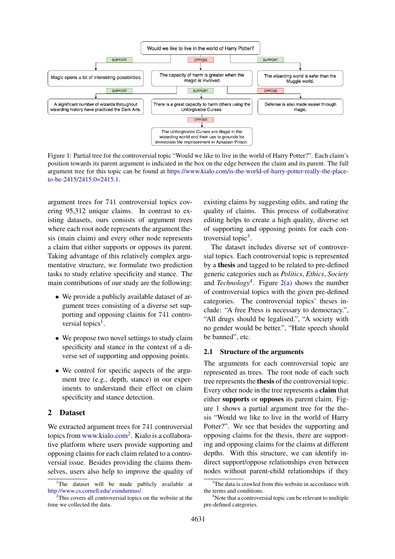<span id="page-1-0"></span>

Figure 1: Partial tree for the controversial topic "Would we like to live in the world of Harry Potter?". Each claim's position towards its parent argument is indicated in the box on the edge between the claim and its parent. The full argument tree for this topic can be found at [https://www.kialo.com/is-the-world-of-harry-potter-really-the-place](https://www.kialo.com/is-the-world-of-harry-potter-really-the-place-to-be-2415/2415.0=2415.1)[to-be-2415/2415.0=2415.1.](https://www.kialo.com/is-the-world-of-harry-potter-really-the-place-to-be-2415/2415.0=2415.1)

argument trees for 741 controversial topics covering 95,312 unique claims. In contrast to existing datasets, ours consists of argument trees where each root node represents the argument thesis (main claim) and every other node represents a claim that either supports or opposes its parent. Taking advantage of this relatively complex argumentative structure, we formulate two prediction tasks to study relative specificity and stance. The main contributions of our study are the following:

- We provide a publicly available dataset of argument trees consisting of a diverse set supporting and opposing claims for 741 contro-versial topics<sup>[1](#page-1-1)</sup>.
- We propose two novel settings to study claim specificity and stance in the context of a diverse set of supporting and opposing points.
- We control for specific aspects of the argument tree (e.g., depth, stance) in our experiments to understand their effect on claim specificity and stance detection.

# 2 Dataset

We extracted argument trees for 741 controversial topics from <www.kialo.com><sup>[2](#page-1-2)</sup>. Kialo is a collaborative platform where users provide supporting and opposing claims for each claim related to a controversial issue. Besides providing the claims themselves, users also help to improve the quality of existing claims by suggesting edits, and rating the quality of claims. This process of collaborative editing helps to create a high quality, diverse set of supporting and opposing points for each controversial topic $3$ .

The dataset includes diverse set of controversial topics. Each controversial topic is represented by a thesis and tagged to be related to pre-defined generic categories such as *Politics*, *Ethics*, *Society* and *Technology*[4](#page-1-4) . Figure [2\(a\)](#page-2-0) shows the number of controversial topics with the given pre-defined categories. The controversial topics' theses include: "A free Press is necessary to democracy.", "All drugs should be legalised.", "A society with no gender would be better.", "Hate speech should be banned", etc.

#### 2.1 Structure of the arguments

The arguments for each controversial topic are represented as trees. The root node of each such tree represents the thesis of the controversial topic. Every other node in the tree represents a claim that either supports or opposes its parent claim. Figure [1](#page-1-0) shows a partial argument tree for the thesis "Would we like to live in the world of Harry Potter?". We see that besides the supporting and opposing claims for the thesis, there are supporting and opposing claims for the claims at different depths. With this structure, we can identify indirect support/oppose relationships even between nodes without parent-child relationships if they

<span id="page-1-1"></span><sup>&</sup>lt;sup>1</sup>The dataset will be made publicly available at [http://www.cs.cornell.edu/ esindurmus/.](http://www.cs.cornell.edu/~esindurmus/)

<span id="page-1-2"></span> $2$ This covers all controversial topics on the website at the time we collected the data.

<span id="page-1-3"></span><sup>&</sup>lt;sup>3</sup>The data is crawled from this website in accordance with the terms and conditions.

<span id="page-1-4"></span><sup>&</sup>lt;sup>4</sup>Note that a controversial topic can be relevant to multiple pre-defined categories.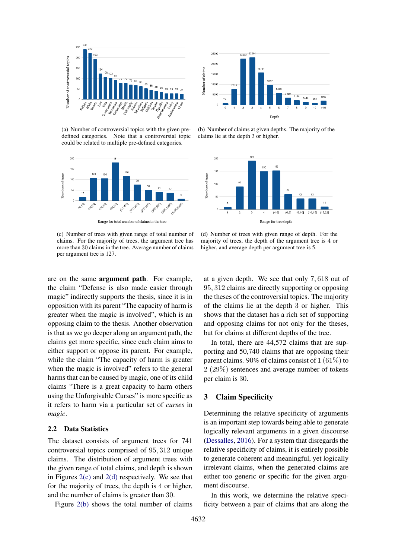<span id="page-2-0"></span>

(a) Number of controversial topics with the given predefined categories. Note that a controversial topic could be related to multiple pre-defined categories.



Range for total number of claims in the tree

<span id="page-2-1"></span>(c) Number of trees with given range of total number of claims. For the majority of trees, the argument tree has more than 30 claims in the tree. Average number of claims per argument tree is 127.



<span id="page-2-3"></span>(b) Number of claims at given depths. The majority of the claims lie at the depth 3 or higher.



<span id="page-2-2"></span>(d) Number of trees with given range of depth. For the majority of trees, the depth of the argument tree is 4 or higher, and average depth per argument tree is 5.

are on the same argument path. For example, the claim "Defense is also made easier through magic" indirectly supports the thesis, since it is in opposition with its parent "The capacity of harm is greater when the magic is involved", which is an opposing claim to the thesis. Another observation is that as we go deeper along an argument path, the claims get more specific, since each claim aims to either support or oppose its parent. For example, while the claim "The capacity of harm is greater when the magic is involved" refers to the general harms that can be caused by magic, one of its child claims "There is a great capacity to harm others using the Unforgivable Curses" is more specific as it refers to harm via a particular set of *curses* in *magic*.

#### 2.2 Data Statistics

The dataset consists of argument trees for 741 controversial topics comprised of 95, 312 unique claims. The distribution of argument trees with the given range of total claims, and depth is shown in Figures [2\(c\)](#page-2-1) and [2\(d\)](#page-2-2) respectively. We see that for the majority of trees, the depth is 4 or higher, and the number of claims is greater than 30.

Figure [2\(b\)](#page-2-3) shows the total number of claims

at a given depth. We see that only 7, 618 out of 95, 312 claims are directly supporting or opposing the theses of the controversial topics. The majority of the claims lie at the depth 3 or higher. This shows that the dataset has a rich set of supporting and opposing claims for not only for the theses, but for claims at different depths of the tree.

In total, there are 44,572 claims that are supporting and 50,740 claims that are opposing their parent claims. 90% of claims consist of 1 (61%) to 2 (29%) sentences and average number of tokens per claim is 30.

## 3 Claim Specificity

Determining the relative specificity of arguments is an important step towards being able to generate logically relevant arguments in a given discourse [\(Dessalles,](#page-8-2) [2016\)](#page-8-2). For a system that disregards the relative specificity of claims, it is entirely possible to generate coherent and meaningful, yet logically irrelevant claims, when the generated claims are either too generic or specific for the given argument discourse.

In this work, we determine the relative specificity between a pair of claims that are along the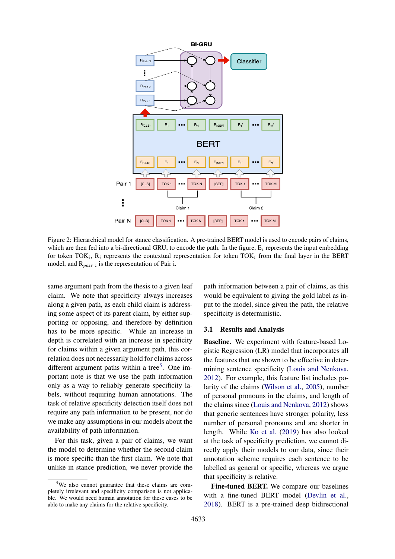<span id="page-3-1"></span>

Figure 2: Hierarchical model for stance classification. A pre-trained BERT model is used to encode pairs of claims, which are then fed into a bi-directional GRU, to encode the path. In the figure,  $E_i$  represents the input embedding for token TOK<sub>i</sub>,  $R_i$  represents the contextual representation for token TOK<sub>i</sub> from the final layer in the BERT model, and  $R_{pair i}$  is the representation of Pair i.

same argument path from the thesis to a given leaf claim. We note that specificity always increases along a given path, as each child claim is addressing some aspect of its parent claim, by either supporting or opposing, and therefore by definition has to be more specific. While an increase in depth is correlated with an increase in specificity for claims within a given argument path, this correlation does not necessarily hold for claims across different argument paths within a tree<sup>[5](#page-3-0)</sup>. One important note is that we use the path information only as a way to reliably generate specificity labels, without requiring human annotations. The task of relative specificity detection itself does not require any path information to be present, nor do we make any assumptions in our models about the availability of path information.

For this task, given a pair of claims, we want the model to determine whether the second claim is more specific than the first claim. We note that unlike in stance prediction, we never provide the

path information between a pair of claims, as this would be equivalent to giving the gold label as input to the model, since given the path, the relative specificity is deterministic.

#### <span id="page-3-2"></span>3.1 Results and Analysis

Baseline. We experiment with feature-based Logistic Regression (LR) model that incorporates all the features that are shown to be effective in determining sentence specificity [\(Louis and Nenkova,](#page-9-1) [2012\)](#page-9-1). For example, this feature list includes polarity of the claims [\(Wilson et al.,](#page-11-0) [2005\)](#page-11-0), number of personal pronouns in the claims, and length of the claims since [\(Louis and Nenkova,](#page-9-1) [2012\)](#page-9-1) shows that generic sentences have stronger polarity, less number of personal pronouns and are shorter in length. While [Ko et al.](#page-9-2) [\(2019\)](#page-9-2) has also looked at the task of specificity prediction, we cannot directly apply their models to our data, since their annotation scheme requires each sentence to be labelled as general or specific, whereas we argue that specificity is relative.

Fine-tuned BERT. We compare our baselines with a fine-tuned BERT model [\(Devlin et al.,](#page-8-3) [2018\)](#page-8-3). BERT is a pre-trained deep bidirectional

<span id="page-3-0"></span><sup>5</sup>We also cannot guarantee that these claims are completely irrelevant and specificity comparison is not applicable. We would need human annotation for these cases to be able to make any claims for the relative specificity.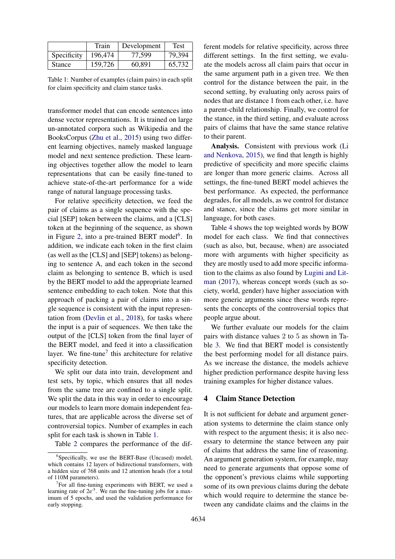<span id="page-4-2"></span>

|               | Train   | Development | Test   |
|---------------|---------|-------------|--------|
| Specificity   | 196,474 | 77.599      | 79,394 |
| <b>Stance</b> | 159,726 | 60,891      | 65,732 |

Table 1: Number of examples (claim pairs) in each split for claim specificity and claim stance tasks.

transformer model that can encode sentences into dense vector representations. It is trained on large un-annotated corpora such as Wikipedia and the BooksCorpus [\(Zhu et al.,](#page-11-1) [2015\)](#page-11-1) using two different learning objectives, namely masked language model and next sentence prediction. These learning objectives together allow the model to learn representations that can be easily fine-tuned to achieve state-of-the-art performance for a wide range of natural language processing tasks.

For relative specificity detection, we feed the pair of claims as a single sequence with the special [SEP] token between the claims, and a [CLS] token at the beginning of the sequence, as shown in Figure [2,](#page-3-1) into a pre-trained BERT model<sup>[6](#page-4-0)</sup>. In addition, we indicate each token in the first claim (as well as the [CLS] and [SEP] tokens) as belonging to sentence A, and each token in the second claim as belonging to sentence B, which is used by the BERT model to add the appropriate learned sentence embedding to each token. Note that this approach of packing a pair of claims into a single sequence is consistent with the input representation from [\(Devlin et al.,](#page-8-3) [2018\)](#page-8-3), for tasks where the input is a pair of sequences. We then take the output of the [CLS] token from the final layer of the BERT model, and feed it into a classification layer. We fine-tune<sup>[7](#page-4-1)</sup> this architecture for relative specificity detection.

We split our data into train, development and test sets, by topic, which ensures that all nodes from the same tree are confined to a single split. We split the data in this way in order to encourage our models to learn more domain independent features, that are applicable across the diverse set of controversial topics. Number of examples in each split for each task is shown in Table [1.](#page-4-2)

Table [2](#page-5-0) compares the performance of the dif-

ferent models for relative specificity, across three different settings. In the first setting, we evaluate the models across all claim pairs that occur in the same argument path in a given tree. We then control for the distance between the pair, in the second setting, by evaluating only across pairs of nodes that are distance 1 from each other, i.e. have a parent-child relationship. Finally, we control for the stance, in the third setting, and evaluate across pairs of claims that have the same stance relative to their parent.

Analysis. Consistent with previous work [\(Li](#page-9-3) [and Nenkova,](#page-9-3) [2015\)](#page-9-3), we find that length is highly predictive of specificity and more specific claims are longer than more generic claims. Across all settings, the fine-tuned BERT model achieves the best performance. As expected, the performance degrades, for all models, as we control for distance and stance, since the claims get more similar in language, for both cases.

Table [4](#page-5-1) shows the top weighted words by BOW model for each class. We find that connectives (such as also, but, because, when) are associated more with arguments with higher specificity as they are mostly used to add more specific information to the claims as also found by [Lugini and Lit](#page-9-4)[man](#page-9-4) [\(2017\)](#page-9-4), whereas concept words (such as society, world, gender) have higher association with more generic arguments since these words represents the concepts of the controversial topics that people argue about.

We further evaluate our models for the claim pairs with distance values 2 to 5 as shown in Table [3.](#page-5-2) We find that BERT model is consistently the best performing model for all distance pairs. As we increase the distance, the models achieve higher prediction performance despite having less training examples for higher distance values.

#### 4 Claim Stance Detection

It is not sufficient for debate and argument generation systems to determine the claim stance only with respect to the argument thesis; it is also necessary to determine the stance between any pair of claims that address the same line of reasoning. An argument generation system, for example, may need to generate arguments that oppose some of the opponent's previous claims while supporting some of its own previous claims during the debate which would require to determine the stance between any candidate claims and the claims in the

<span id="page-4-0"></span><sup>6</sup> Specifically, we use the BERT-Base (Uncased) model, which contains 12 layers of bidirectional transformers, with a hidden size of 768 units and 12 attention heads (for a total of 110M parameters).

<span id="page-4-1"></span><sup>&</sup>lt;sup>7</sup>For all fine-tuning experiments with BERT, we used a learning rate of  $2e^{-5}$ . We ran the fine-tuning jobs for a maximum of 5 epochs, and used the validation performance for early stopping.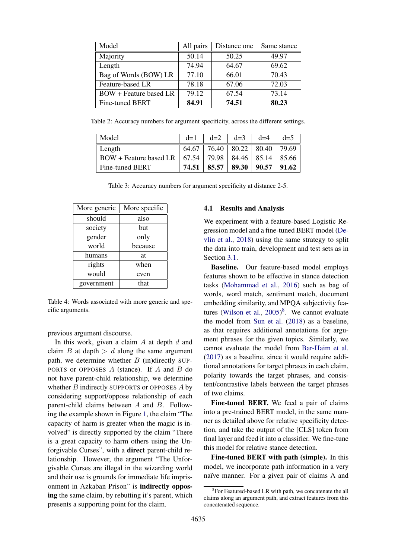<span id="page-5-0"></span>

| Model                         | All pairs | Distance one | Same stance |  |
|-------------------------------|-----------|--------------|-------------|--|
| Majority                      | 50.14     | 50.25        | 49.97       |  |
| Length                        | 74.94     | 64.67        | 69.62       |  |
| Bag of Words (BOW) LR         | 77.10     | 66.01        | 70.43       |  |
| Feature-based LR              | 78.18     | 67.06        | 72.03       |  |
| <b>BOW</b> + Feature based LR | 79.12     | 67.54        | 73.14       |  |
| Fine-tuned BERT               | 84.91     | 74.51        | 80.23       |  |

<span id="page-5-2"></span>Table 2: Accuracy numbers for argument specificity, across the different settings.

| Model                               | $d=1$ | $d=2$ | $d=3$              | $d=4$ | $d=5$ |
|-------------------------------------|-------|-------|--------------------|-------|-------|
| Length                              | 64.67 | 76.40 | $80.22 \div 80.40$ |       | 79.69 |
| $BOW + Feature based LR \mid 67.54$ |       | 79.98 | $84.46 \div 85.14$ |       | 85.66 |
| Fine-tuned BERT                     | 74.51 | 85.57 | 89.30              | 90.57 | 91.62 |

Table 3: Accuracy numbers for argument specificity at distance 2-5.

<span id="page-5-1"></span>

| More generic  | More specific |  |  |
|---------------|---------------|--|--|
| should        | also          |  |  |
| society       | but           |  |  |
| gender        | only          |  |  |
| world         | because       |  |  |
| humans        | at            |  |  |
| rights        | when          |  |  |
| would<br>even |               |  |  |
| government    | that          |  |  |

Table 4: Words associated with more generic and specific arguments.

previous argument discourse.

In this work, given a claim  $A$  at depth  $d$  and claim  $B$  at depth  $> d$  along the same argument path, we determine whether  $B$  (in)directly SUP-PORTS or OPPOSES  $A$  (stance). If  $A$  and  $B$  do not have parent-child relationship, we determine whether  $B$  indirectly SUPPORTS or OPPOSES  $A$  by considering support/oppose relationship of each parent-child claims between A and B. Following the example shown in Figure [1,](#page-1-0) the claim "The capacity of harm is greater when the magic is involved" is directly supported by the claim "There is a great capacity to harm others using the Unforgivable Curses", with a direct parent-child relationship. However, the argument "The Unforgivable Curses are illegal in the wizarding world and their use is grounds for immediate life imprisonment in Azkaban Prison" is indirectly opposing the same claim, by rebutting it's parent, which presents a supporting point for the claim.

#### 4.1 Results and Analysis

We experiment with a feature-based Logistic Regression model and a fine-tuned BERT model [\(De](#page-8-3)[vlin et al.,](#page-8-3) [2018\)](#page-8-3) using the same strategy to split the data into train, development and test sets as in Section [3.1.](#page-3-2)

Baseline. Our feature-based model employs features shown to be effective in stance detection tasks [\(Mohammad et al.,](#page-9-5) [2016\)](#page-9-5) such as bag of words, word match, sentiment match, document embedding similarity, and MPQA subjectivity fea-tures [\(Wilson et al.,](#page-11-0)  $2005)^8$  $2005)^8$  $2005)^8$ . We cannot evaluate the model from [Sun et al.](#page-10-1) [\(2018\)](#page-10-1) as a baseline, as that requires additional annotations for argument phrases for the given topics. Similarly, we cannot evaluate the model from [Bar-Haim et al.](#page-8-0) [\(2017\)](#page-8-0) as a baseline, since it would require additional annotations for target phrases in each claim, polarity towards the target phrases, and consistent/contrastive labels between the target phrases of two claims.

Fine-tuned BERT. We feed a pair of claims into a pre-trained BERT model, in the same manner as detailed above for relative specificity detection, and take the output of the [CLS] token from final layer and feed it into a classifier. We fine-tune this model for relative stance detection.

Fine-tuned BERT with path (simple). In this model, we incorporate path information in a very naïve manner. For a given pair of claims A and

<span id="page-5-3"></span><sup>&</sup>lt;sup>8</sup> For Featured-based LR with path, we concatenate the all claims along an argument path, and extract features from this concatenated sequence.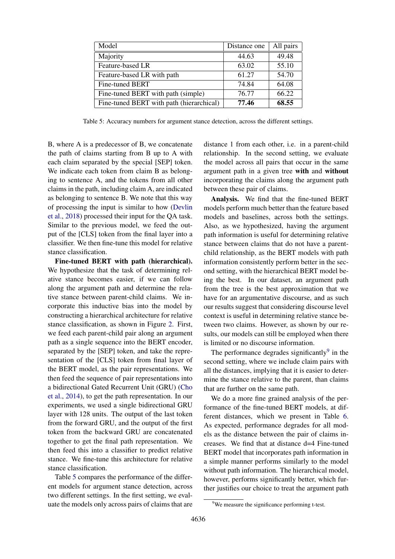<span id="page-6-0"></span>

| Model                                    | Distance one | All pairs |
|------------------------------------------|--------------|-----------|
| Majority                                 | 44.63        | 49.48     |
| Feature-based LR                         | 63.02        | 55.10     |
| Feature-based LR with path               | 61.27        | 54.70     |
| Fine-tuned BERT                          | 74.84        | 64.08     |
| Fine-tuned BERT with path (simple)       | 76.77        | 66.22     |
| Fine-tuned BERT with path (hierarchical) | 77.46        | 68.55     |

Table 5: Accuracy numbers for argument stance detection, across the different settings.

B, where A is a predecessor of B, we concatenate the path of claims starting from B up to A with each claim separated by the special [SEP] token. We indicate each token from claim B as belonging to sentence A, and the tokens from all other claims in the path, including claim A, are indicated as belonging to sentence B. We note that this way of processing the input is similar to how [\(Devlin](#page-8-3) [et al.,](#page-8-3) [2018\)](#page-8-3) processed their input for the QA task. Similar to the previous model, we feed the output of the [CLS] token from the final layer into a classifier. We then fine-tune this model for relative stance classification.

Fine-tuned BERT with path (hierarchical). We hypothesize that the task of determining relative stance becomes easier, if we can follow along the argument path and determine the relative stance between parent-child claims. We incorporate this inductive bias into the model by constructing a hierarchical architecture for relative stance classification, as shown in Figure [2.](#page-3-1) First, we feed each parent-child pair along an argument path as a single sequence into the BERT encoder, separated by the [SEP] token, and take the representation of the [CLS] token from final layer of the BERT model, as the pair representations. We then feed the sequence of pair representations into a bidirectional Gated Recurrent Unit (GRU) [\(Cho](#page-8-4) [et al.,](#page-8-4) [2014\)](#page-8-4), to get the path representation. In our experiments, we used a single bidirectional GRU layer with 128 units. The output of the last token from the forward GRU, and the output of the first token from the backward GRU are concatenated together to get the final path representation. We then feed this into a classifier to predict relative stance. We fine-tune this architecture for relative stance classification.

Table [5](#page-6-0) compares the performance of the different models for argument stance detection, across two different settings. In the first setting, we evaluate the models only across pairs of claims that are

distance 1 from each other, i.e. in a parent-child relationship. In the second setting, we evaluate the model across all pairs that occur in the same argument path in a given tree with and without incorporating the claims along the argument path between these pair of claims.

Analysis. We find that the fine-tuned BERT models perform much better than the feature based models and baselines, across both the settings. Also, as we hypothesized, having the argument path information is useful for determining relative stance between claims that do not have a parentchild relationship, as the BERT models with path information consistently perform better in the second setting, with the hierarchical BERT model being the best. In our dataset, an argument path from the tree is the best approximation that we have for an argumentative discourse, and as such our results suggest that considering discourse level context is useful in determining relative stance between two claims. However, as shown by our results, our models can still be employed when there is limited or no discourse information.

The performance degrades significantly $9$  in the second setting, where we include claim pairs with all the distances, implying that it is easier to determine the stance relative to the parent, than claims that are further on the same path.

We do a more fine grained analysis of the performance of the fine-tuned BERT models, at different distances, which we present in Table [6.](#page-7-0) As expected, performance degrades for all models as the distance between the pair of claims increases. We find that at distance d=4 Fine-tuned BERT model that incorporates path information in a simple manner performs similarly to the model without path information. The hierarchical model, however, performs significantly better, which further justifies our choice to treat the argument path

<span id="page-6-1"></span><sup>&</sup>lt;sup>9</sup>We measure the significance performing t-test.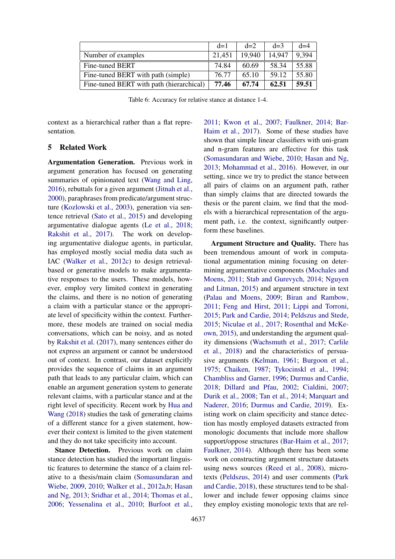<span id="page-7-0"></span>

|                                          | $d=1$  | $d=2$  | $d=3$  | $d=4$ |
|------------------------------------------|--------|--------|--------|-------|
| Number of examples                       | 21,451 | 19.940 | 14,947 | 9.394 |
| Fine-tuned BERT                          | 74.84  | 60.69  | 58.34  | 55.88 |
| Fine-tuned BERT with path (simple)       | 76.77  | 65.10  | 59.12  | 55.80 |
| Fine-tuned BERT with path (hierarchical) | 77.46  | 67.74  | 62.51  | 59.51 |

Table 6: Accuracy for relative stance at distance 1-4.

context as a hierarchical rather than a flat representation.

#### 5 Related Work

Argumentation Generation. Previous work in argument generation has focused on generating summaries of opinionated text [\(Wang and Ling,](#page-10-2) [2016\)](#page-10-2), rebuttals for a given argument [\(Jitnah et al.,](#page-9-6) [2000\)](#page-9-6), paraphrases from predicate/argument structure [\(Kozlowski et al.,](#page-9-7) [2003\)](#page-9-7), generation via sentence retrieval [\(Sato et al.,](#page-10-3) [2015\)](#page-10-3) and developing argumentative dialogue agents [\(Le et al.,](#page-9-8) [2018;](#page-9-8) [Rakshit et al.,](#page-10-4) [2017\)](#page-10-4). The work on developing argumentative dialogue agents, in particular, has employed mostly social media data such as IAC [\(Walker et al.,](#page-10-5) [2012c\)](#page-10-5) to design retrievalbased or generative models to make argumentative responses to the users. These models, however, employ very limited context in generating the claims, and there is no notion of generating a claim with a particular stance or the appropriate level of specificity within the context. Furthermore, these models are trained on social media conversations, which can be noisy, and as noted by [Rakshit et al.](#page-10-4) [\(2017\)](#page-10-4), many sentences either do not express an argument or cannot be understood out of context. In contrast, our dataset explicitly provides the sequence of claims in an argument path that leads to any particular claim, which can enable an argument generation system to generate relevant claims, with a particular stance and at the right level of specificity. Recent work by [Hua and](#page-9-9) [Wang](#page-9-9) [\(2018\)](#page-9-9) studies the task of generating claims of a different stance for a given statement, however their context is limited to the given statement and they do not take specificity into account.

Stance Detection. Previous work on claim stance detection has studied the important linguistic features to determine the stance of a claim relative to a thesis/main claim [\(Somasundaran and](#page-10-6) [Wiebe,](#page-10-6) [2009,](#page-10-6) [2010;](#page-10-7) [Walker et al.,](#page-10-8) [2012a,](#page-10-8)[b;](#page-10-9) [Hasan](#page-9-10) [and Ng,](#page-9-10) [2013;](#page-9-10) [Sridhar et al.,](#page-10-10) [2014;](#page-10-10) [Thomas et al.,](#page-10-11) [2006;](#page-10-11) [Yessenalina et al.,](#page-11-2) [2010;](#page-11-2) [Burfoot et al.,](#page-8-5)

[2011;](#page-8-5) [Kwon et al.,](#page-9-11) [2007;](#page-9-11) [Faulkner,](#page-9-0) [2014;](#page-9-0) [Bar-](#page-8-0)[Haim et al.,](#page-8-0) [2017\)](#page-8-0). Some of these studies have shown that simple linear classifiers with uni-gram and n-gram features are effective for this task [\(Somasundaran and Wiebe,](#page-10-7) [2010;](#page-10-7) [Hasan and Ng,](#page-9-10) [2013;](#page-9-10) [Mohammad et al.,](#page-9-5) [2016\)](#page-9-5). However, in our setting, since we try to predict the stance between all pairs of claims on an argument path, rather than simply claims that are directed towards the thesis or the parent claim, we find that the models with a hierarchical representation of the argument path, i.e. the context, significantly outperform these baselines.

Argument Structure and Quality. There has been tremendous amount of work in computational argumentation mining focusing on determining argumentative components [\(Mochales and](#page-9-12) [Moens,](#page-9-12) [2011;](#page-9-12) [Stab and Gurevych,](#page-10-12) [2014;](#page-10-12) [Nguyen](#page-9-13) [and Litman,](#page-9-13) [2015\)](#page-9-13) and argument structure in text [\(Palau and Moens,](#page-9-14) [2009;](#page-9-14) [Biran and Rambow,](#page-8-6) [2011;](#page-8-6) [Feng and Hirst,](#page-9-15) [2011;](#page-9-15) [Lippi and Torroni,](#page-9-16) [2015;](#page-9-16) [Park and Cardie,](#page-9-17) [2014;](#page-9-17) [Peldszus and Stede,](#page-10-13) [2015;](#page-10-13) [Niculae et al.,](#page-9-18) [2017;](#page-9-18) [Rosenthal and McKe](#page-10-14)[own,](#page-10-14) [2015\)](#page-10-14), and understanding the argument quality dimensions [\(Wachsmuth et al.,](#page-10-15) [2017;](#page-10-15) [Carlile](#page-8-1) [et al.,](#page-8-1) [2018\)](#page-8-1) and the characteristics of persuasive arguments [\(Kelman,](#page-9-19) [1961;](#page-9-19) [Burgoon et al.,](#page-8-7) [1975;](#page-8-7) [Chaiken,](#page-8-8) [1987;](#page-8-8) [Tykocinskl et al.,](#page-10-16) [1994;](#page-10-16) [Chambliss and Garner,](#page-8-9) [1996;](#page-8-9) [Durmus and Cardie,](#page-8-10) [2018;](#page-8-10) [Dillard and Pfau,](#page-8-11) [2002;](#page-8-11) [Cialdini,](#page-8-12) [2007;](#page-8-12) [Durik et al.,](#page-8-13) [2008;](#page-8-13) [Tan et al.,](#page-10-17) [2014;](#page-10-17) [Marquart and](#page-9-20) [Naderer,](#page-9-20) [2016;](#page-9-20) [Durmus and Cardie,](#page-9-21) [2019\)](#page-9-21). Existing work on claim specificity and stance detection has mostly employed datasets extracted from monologic documents that include more shallow support/oppose structures [\(Bar-Haim et al.,](#page-8-0) [2017;](#page-8-0) [Faulkner,](#page-9-0) [2014\)](#page-9-0). Although there has been some work on constructing argument structure datasets using news sources [\(Reed et al.,](#page-10-18) [2008\)](#page-10-18), microtexts [\(Peldszus,](#page-10-19) [2014\)](#page-10-19) and user comments [\(Park](#page-9-22) [and Cardie,](#page-9-22) [2018\)](#page-9-22), these structures tend to be shallower and include fewer opposing claims since they employ existing monologic texts that are rel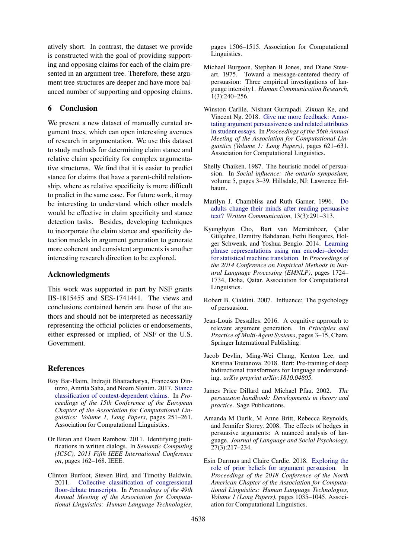atively short. In contrast, the dataset we provide is constructed with the goal of providing supporting and opposing claims for each of the claim presented in an argument tree. Therefore, these argument tree structures are deeper and have more balanced number of supporting and opposing claims.

## 6 Conclusion

We present a new dataset of manually curated argument trees, which can open interesting avenues of research in argumentation. We use this dataset to study methods for determining claim stance and relative claim specificity for complex argumentative structures. We find that it is easier to predict stance for claims that have a parent-child relationship, where as relative specificity is more difficult to predict in the same case. For future work, it may be interesting to understand which other models would be effective in claim specificity and stance detection tasks. Besides, developing techniques to incorporate the claim stance and specificity detection models in argument generation to generate more coherent and consistent arguments is another interesting research direction to be explored.

# Acknowledgments

This work was supported in part by NSF grants IIS-1815455 and SES-1741441. The views and conclusions contained herein are those of the authors and should not be interpreted as necessarily representing the official policies or endorsements, either expressed or implied, of NSF or the U.S. Government.

# References

- <span id="page-8-0"></span>Roy Bar-Haim, Indrajit Bhattacharya, Francesco Dinuzzo, Amrita Saha, and Noam Slonim. 2017. [Stance](http://aclweb.org/anthology/E17-1024) [classification of context-dependent claims.](http://aclweb.org/anthology/E17-1024) In *Proceedings of the 15th Conference of the European Chapter of the Association for Computational Linguistics: Volume 1, Long Papers*, pages 251–261. Association for Computational Linguistics.
- <span id="page-8-6"></span>Or Biran and Owen Rambow. 2011. Identifying justifications in written dialogs. In *Semantic Computing (ICSC), 2011 Fifth IEEE International Conference on*, pages 162–168. IEEE.
- <span id="page-8-5"></span>Clinton Burfoot, Steven Bird, and Timothy Baldwin. 2011. [Collective classification of congressional](http://aclweb.org/anthology/P11-1151) [floor-debate transcripts.](http://aclweb.org/anthology/P11-1151) In *Proceedings of the 49th Annual Meeting of the Association for Computational Linguistics: Human Language Technologies*,

pages 1506–1515. Association for Computational Linguistics.

- <span id="page-8-7"></span>Michael Burgoon, Stephen B Jones, and Diane Stewart. 1975. Toward a message-centered theory of persuasion: Three empirical investigations of language intensity1. *Human Communication Research*, 1(3):240–256.
- <span id="page-8-1"></span>Winston Carlile, Nishant Gurrapadi, Zixuan Ke, and Vincent Ng. 2018. [Give me more feedback: Anno](http://aclweb.org/anthology/P18-1058)[tating argument persuasiveness and related attributes](http://aclweb.org/anthology/P18-1058) [in student essays.](http://aclweb.org/anthology/P18-1058) In *Proceedings of the 56th Annual Meeting of the Association for Computational Linguistics (Volume 1: Long Papers)*, pages 621–631. Association for Computational Linguistics.
- <span id="page-8-8"></span>Shelly Chaiken. 1987. The heuristic model of persuasion. In *Social influence: the ontario symposium*, volume 5, pages 3–39. Hillsdale, NJ: Lawrence Erlbaum.
- <span id="page-8-9"></span>Marilyn J. Chambliss and Ruth Garner. 1996. [Do](https://doi.org/10.1177/0741088396013003001) [adults change their minds after reading persuasive](https://doi.org/10.1177/0741088396013003001) [text?](https://doi.org/10.1177/0741088396013003001) *Written Communication*, 13(3):291–313.
- <span id="page-8-4"></span>Kyunghyun Cho, Bart van Merriënboer, Calar Gülçehre, Dzmitry Bahdanau, Fethi Bougares, Holger Schwenk, and Yoshua Bengio. 2014. [Learning](http://www.aclweb.org/anthology/D14-1179) [phrase representations using rnn encoder–decoder](http://www.aclweb.org/anthology/D14-1179) [for statistical machine translation.](http://www.aclweb.org/anthology/D14-1179) In *Proceedings of the 2014 Conference on Empirical Methods in Natural Language Processing (EMNLP)*, pages 1724– 1734, Doha, Qatar. Association for Computational Linguistics.
- <span id="page-8-12"></span>Robert B. Cialdini. 2007. Influence: The psychology of persuasion.
- <span id="page-8-2"></span>Jean-Louis Dessalles. 2016. A cognitive approach to relevant argument generation. In *Principles and Practice of Multi-Agent Systems*, pages 3–15, Cham. Springer International Publishing.
- <span id="page-8-3"></span>Jacob Devlin, Ming-Wei Chang, Kenton Lee, and Kristina Toutanova. 2018. Bert: Pre-training of deep bidirectional transformers for language understanding. *arXiv preprint arXiv:1810.04805*.
- <span id="page-8-11"></span>James Price Dillard and Michael Pfau. 2002. *The persuasion handbook: Developments in theory and practice*. Sage Publications.
- <span id="page-8-13"></span>Amanda M Durik, M Anne Britt, Rebecca Reynolds, and Jennifer Storey. 2008. The effects of hedges in persuasive arguments: A nuanced analysis of language. *Journal of Language and Social Psychology*, 27(3):217–234.
- <span id="page-8-10"></span>Esin Durmus and Claire Cardie. 2018. [Exploring the](https://doi.org/10.18653/v1/N18-1094) [role of prior beliefs for argument persuasion.](https://doi.org/10.18653/v1/N18-1094) In *Proceedings of the 2018 Conference of the North American Chapter of the Association for Computational Linguistics: Human Language Technologies, Volume 1 (Long Papers)*, pages 1035–1045. Association for Computational Linguistics.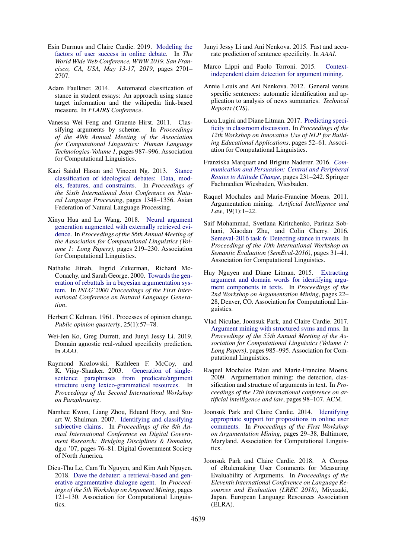- <span id="page-9-21"></span>Esin Durmus and Claire Cardie. 2019. [Modeling the](https://doi.org/10.1145/3308558.3313676) [factors of user success in online debate.](https://doi.org/10.1145/3308558.3313676) In *The World Wide Web Conference, WWW 2019, San Francisco, CA, USA, May 13-17, 2019*, pages 2701– 2707.
- <span id="page-9-0"></span>Adam Faulkner. 2014. Automated classification of stance in student essays: An approach using stance target information and the wikipedia link-based measure. In *FLAIRS Conference*.
- <span id="page-9-15"></span>Vanessa Wei Feng and Graeme Hirst. 2011. Classifying arguments by scheme. In *Proceedings of the 49th Annual Meeting of the Association for Computational Linguistics: Human Language Technologies-Volume 1*, pages 987–996. Association for Computational Linguistics.
- <span id="page-9-10"></span>Kazi Saidul Hasan and Vincent Ng. 2013. [Stance](http://aclweb.org/anthology/I13-1191) [classification of ideological debates: Data, mod](http://aclweb.org/anthology/I13-1191)[els, features, and constraints.](http://aclweb.org/anthology/I13-1191) In *Proceedings of the Sixth International Joint Conference on Natural Language Processing*, pages 1348–1356. Asian Federation of Natural Language Processing.
- <span id="page-9-9"></span>Xinyu Hua and Lu Wang. 2018. [Neural argument](http://aclweb.org/anthology/P18-1021) [generation augmented with externally retrieved evi](http://aclweb.org/anthology/P18-1021)[dence.](http://aclweb.org/anthology/P18-1021) In *Proceedings of the 56th Annual Meeting of the Association for Computational Linguistics (Volume 1: Long Papers)*, pages 219–230. Association for Computational Linguistics.
- <span id="page-9-6"></span>Nathalie Jitnah, Ingrid Zukerman, Richard Mc-Conachy, and Sarah George. 2000. [Towards the gen](http://aclweb.org/anthology/W00-1406)[eration of rebuttals in a bayesian argumentation sys](http://aclweb.org/anthology/W00-1406)[tem.](http://aclweb.org/anthology/W00-1406) In *INLG'2000 Proceedings of the First International Conference on Natural Language Generation*.
- <span id="page-9-19"></span>Herbert C Kelman. 1961. Processes of opinion change. *Public opinion quarterly*, 25(1):57–78.
- <span id="page-9-2"></span>Wei-Jen Ko, Greg Durrett, and Junyi Jessy Li. 2019. Domain agnostic real-valued specificity prediction. In *AAAI*.
- <span id="page-9-7"></span>Raymond Kozlowski, Kathleen F. McCoy, and K. Vijay-Shanker. 2003. [Generation of single](http://aclweb.org/anthology/W03-1601)[sentence paraphrases from predicate/argument](http://aclweb.org/anthology/W03-1601) [structure using lexico-grammatical resources.](http://aclweb.org/anthology/W03-1601) In *Proceedings of the Second International Workshop on Paraphrasing*.
- <span id="page-9-11"></span>Namhee Kwon, Liang Zhou, Eduard Hovy, and Stuart W. Shulman. 2007. [Identifying and classifying](http://dl.acm.org/citation.cfm?id=1248460.1248473) [subjective claims.](http://dl.acm.org/citation.cfm?id=1248460.1248473) In *Proceedings of the 8th Annual International Conference on Digital Government Research: Bridging Disciplines & Domains*, dg.o '07, pages 76–81. Digital Government Society of North America.
- <span id="page-9-8"></span>Dieu-Thu Le, Cam Tu Nguyen, and Kim Anh Nguyen. 2018. [Dave the debater: a retrieval-based and gen](http://aclweb.org/anthology/W18-5215)[erative argumentative dialogue agent.](http://aclweb.org/anthology/W18-5215) In *Proceedings of the 5th Workshop on Argument Mining*, pages 121–130. Association for Computational Linguistics.
- <span id="page-9-3"></span>Junyi Jessy Li and Ani Nenkova. 2015. Fast and accurate prediction of sentence specificity. In *AAAI*.
- <span id="page-9-16"></span>Marco Lippi and Paolo Torroni. 2015. [Context](http://www.aaai.org/ocs/index.php/IJCAI/IJCAI15/paper/view/10942)[independent claim detection for argument mining.](http://www.aaai.org/ocs/index.php/IJCAI/IJCAI15/paper/view/10942)
- <span id="page-9-1"></span>Annie Louis and Ani Nenkova. 2012. General versus specific sentences: automatic identification and application to analysis of news summaries. *Technical Reports (CIS)*.
- <span id="page-9-4"></span>Luca Lugini and Diane Litman. 2017. [Predicting speci](https://doi.org/10.18653/v1/W17-5006)[ficity in classroom discussion.](https://doi.org/10.18653/v1/W17-5006) In *Proceedings of the 12th Workshop on Innovative Use of NLP for Building Educational Applications*, pages 52–61. Association for Computational Linguistics.
- <span id="page-9-20"></span>Franziska Marquart and Brigitte Naderer. 2016. *[Com](https://doi.org/10.1007/978-3-658-09923-7_20)[munication and Persuasion: Central and Peripheral](https://doi.org/10.1007/978-3-658-09923-7_20) [Routes to Attitude Change](https://doi.org/10.1007/978-3-658-09923-7_20)*, pages 231–242. Springer Fachmedien Wiesbaden, Wiesbaden.
- <span id="page-9-12"></span>Raquel Mochales and Marie-Francine Moens. 2011. Argumentation mining. *Artificial Intelligence and Law*, 19(1):1–22.
- <span id="page-9-5"></span>Saif Mohammad, Svetlana Kiritchenko, Parinaz Sobhani, Xiaodan Zhu, and Colin Cherry. 2016. [Semeval-2016 task 6: Detecting stance in tweets.](https://doi.org/10.18653/v1/S16-1003) In *Proceedings of the 10th International Workshop on Semantic Evaluation (SemEval-2016)*, pages 31–41. Association for Computational Linguistics.
- <span id="page-9-13"></span>Huy Nguyen and Diane Litman. 2015. [Extracting](http://www.aclweb.org/anthology/W15-0503) [argument and domain words for identifying argu](http://www.aclweb.org/anthology/W15-0503)[ment components in texts.](http://www.aclweb.org/anthology/W15-0503) In *Proceedings of the 2nd Workshop on Argumentation Mining*, pages 22– 28, Denver, CO. Association for Computational Linguistics.
- <span id="page-9-18"></span>Vlad Niculae, Joonsuk Park, and Claire Cardie. 2017. [Argument mining with structured svms and rnns.](https://doi.org/10.18653/v1/P17-1091) In *Proceedings of the 55th Annual Meeting of the Association for Computational Linguistics (Volume 1: Long Papers)*, pages 985–995. Association for Computational Linguistics.
- <span id="page-9-14"></span>Raquel Mochales Palau and Marie-Francine Moens. 2009. Argumentation mining: the detection, classification and structure of arguments in text. In *Proceedings of the 12th international conference on artificial intelligence and law*, pages 98–107. ACM.
- <span id="page-9-17"></span>Joonsuk Park and Claire Cardie. 2014. [Identifying](http://www.aclweb.org/anthology/W/W14/W14-2105) [appropriate support for propositions in online user](http://www.aclweb.org/anthology/W/W14/W14-2105) [comments.](http://www.aclweb.org/anthology/W/W14/W14-2105) In *Proceedings of the First Workshop on Argumentation Mining*, pages 29–38, Baltimore, Maryland. Association for Computational Linguistics.
- <span id="page-9-22"></span>Joonsuk Park and Claire Cardie. 2018. A Corpus of eRulemaking User Comments for Measuring Evaluability of Arguments. In *Proceedings of the Eleventh International Conference on Language Resources and Evaluation (LREC 2018)*, Miyazaki, Japan. European Language Resources Association (ELRA).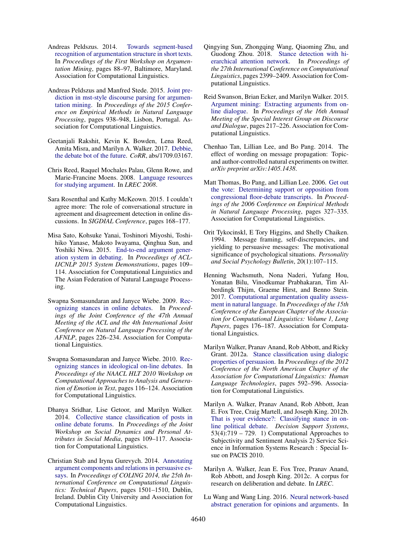- <span id="page-10-19"></span>Andreas Peldszus. 2014. [Towards segment-based](https://doi.org/10.3115/v1/W14-2112) [recognition of argumentation structure in short texts.](https://doi.org/10.3115/v1/W14-2112) In *Proceedings of the First Workshop on Argumentation Mining*, pages 88–97, Baltimore, Maryland. Association for Computational Linguistics.
- <span id="page-10-13"></span>Andreas Peldszus and Manfred Stede. 2015. [Joint pre](http://aclweb.org/anthology/D15-1110)[diction in mst-style discourse parsing for argumen](http://aclweb.org/anthology/D15-1110)[tation mining.](http://aclweb.org/anthology/D15-1110) In *Proceedings of the 2015 Conference on Empirical Methods in Natural Language Processing*, pages 938–948, Lisbon, Portugal. Association for Computational Linguistics.
- <span id="page-10-4"></span>Geetanjali Rakshit, Kevin K. Bowden, Lena Reed, Amita Misra, and Marilyn A. Walker. 2017. [Debbie,](http://arxiv.org/abs/1709.03167) [the debate bot of the future.](http://arxiv.org/abs/1709.03167) *CoRR*, abs/1709.03167.
- <span id="page-10-18"></span>Chris Reed, Raquel Mochales Palau, Glenn Rowe, and Marie-Francine Moens. 2008. [Language resources](http://www.lrec-conf.org/proceedings/lrec2008/pdf/648_paper.pdf) [for studying argument.](http://www.lrec-conf.org/proceedings/lrec2008/pdf/648_paper.pdf) In *LREC 2008*.
- <span id="page-10-14"></span>Sara Rosenthal and Kathy McKeown. 2015. I couldn't agree more: The role of conversational structure in agreement and disagreement detection in online discussions. In *SIGDIAL Conference*, pages 168–177.
- <span id="page-10-3"></span>Misa Sato, Kohsuke Yanai, Toshinori Miyoshi, Toshihiko Yanase, Makoto Iwayama, Qinghua Sun, and Yoshiki Niwa. 2015. [End-to-end argument gener](https://doi.org/10.3115/v1/P15-4019)[ation system in debating.](https://doi.org/10.3115/v1/P15-4019) In *Proceedings of ACL-IJCNLP 2015 System Demonstrations*, pages 109– 114. Association for Computational Linguistics and The Asian Federation of Natural Language Processing.
- <span id="page-10-6"></span>Swapna Somasundaran and Janyce Wiebe. 2009. [Rec](http://aclweb.org/anthology/P09-1026)[ognizing stances in online debates.](http://aclweb.org/anthology/P09-1026) In *Proceedings of the Joint Conference of the 47th Annual Meeting of the ACL and the 4th International Joint Conference on Natural Language Processing of the AFNLP*, pages 226–234. Association for Computational Linguistics.
- <span id="page-10-7"></span>Swapna Somasundaran and Janyce Wiebe. 2010. [Rec](http://aclweb.org/anthology/W10-0214)[ognizing stances in ideological on-line debates.](http://aclweb.org/anthology/W10-0214) In *Proceedings of the NAACL HLT 2010 Workshop on Computational Approaches to Analysis and Generation of Emotion in Text*, pages 116–124. Association for Computational Linguistics.
- <span id="page-10-10"></span>Dhanya Sridhar, Lise Getoor, and Marilyn Walker. 2014. [Collective stance classification of posts in](https://doi.org/10.3115/v1/W14-2715) [online debate forums.](https://doi.org/10.3115/v1/W14-2715) In *Proceedings of the Joint Workshop on Social Dynamics and Personal Attributes in Social Media*, pages 109–117. Association for Computational Linguistics.
- <span id="page-10-12"></span>Christian Stab and Iryna Gurevych. 2014. [Annotating](http://www.aclweb.org/anthology/C14-1142) [argument components and relations in persuasive es](http://www.aclweb.org/anthology/C14-1142)[says.](http://www.aclweb.org/anthology/C14-1142) In *Proceedings of COLING 2014, the 25th International Conference on Computational Linguistics: Technical Papers*, pages 1501–1510, Dublin, Ireland. Dublin City University and Association for Computational Linguistics.
- <span id="page-10-1"></span>Qingying Sun, Zhongqing Wang, Qiaoming Zhu, and Guodong Zhou. 2018. [Stance detection with hi](http://aclweb.org/anthology/C18-1203)[erarchical attention network.](http://aclweb.org/anthology/C18-1203) In *Proceedings of the 27th International Conference on Computational Linguistics*, pages 2399–2409. Association for Computational Linguistics.
- <span id="page-10-0"></span>Reid Swanson, Brian Ecker, and Marilyn Walker. 2015. [Argument mining: Extracting arguments from on](https://doi.org/10.18653/v1/W15-4631)[line dialogue.](https://doi.org/10.18653/v1/W15-4631) In *Proceedings of the 16th Annual Meeting of the Special Interest Group on Discourse and Dialogue*, pages 217–226. Association for Computational Linguistics.
- <span id="page-10-17"></span>Chenhao Tan, Lillian Lee, and Bo Pang. 2014. The effect of wording on message propagation: Topicand author-controlled natural experiments on twitter. *arXiv preprint arXiv:1405.1438*.
- <span id="page-10-11"></span>Matt Thomas, Bo Pang, and Lillian Lee. 2006. [Get out](http://aclweb.org/anthology/W06-1639) [the vote: Determining support or opposition from](http://aclweb.org/anthology/W06-1639) [congressional floor-debate transcripts.](http://aclweb.org/anthology/W06-1639) In *Proceedings of the 2006 Conference on Empirical Methods in Natural Language Processing*, pages 327–335. Association for Computational Linguistics.
- <span id="page-10-16"></span>Orit Tykocinskl, E Tory Higgins, and Shelly Chaiken. 1994. Message framing, self-discrepancies, and yielding to persuasive messages: The motivational significance of psychological situations. *Personality and Social Psychology Bulletin*, 20(1):107–115.
- <span id="page-10-15"></span>Henning Wachsmuth, Nona Naderi, Yufang Hou, Yonatan Bilu, Vinodkumar Prabhakaran, Tim Alberdingk Thijm, Graeme Hirst, and Benno Stein. 2017. [Computational argumentation quality assess](http://aclweb.org/anthology/E17-1017)[ment in natural language.](http://aclweb.org/anthology/E17-1017) In *Proceedings of the 15th Conference of the European Chapter of the Association for Computational Linguistics: Volume 1, Long Papers*, pages 176–187. Association for Computational Linguistics.
- <span id="page-10-8"></span>Marilyn Walker, Pranav Anand, Rob Abbott, and Ricky Grant. 2012a. [Stance classification using dialogic](http://aclweb.org/anthology/N12-1072) [properties of persuasion.](http://aclweb.org/anthology/N12-1072) In *Proceedings of the 2012 Conference of the North American Chapter of the Association for Computational Linguistics: Human Language Technologies*, pages 592–596. Association for Computational Linguistics.
- <span id="page-10-9"></span>Marilyn A. Walker, Pranav Anand, Rob Abbott, Jean E. Fox Tree, Craig Martell, and Joseph King. 2012b. [That is your evidence?: Classifying stance in on](https://doi.org/https://doi.org/10.1016/j.dss.2012.05.032)[line political debate.](https://doi.org/https://doi.org/10.1016/j.dss.2012.05.032) *Decision Support Systems*,  $53(4)$ :719 – 729. 1) Computational Approaches to Subjectivity and Sentiment Analysis 2) Service Science in Information Systems Research : Special Issue on PACIS 2010.
- <span id="page-10-5"></span>Marilyn A. Walker, Jean E. Fox Tree, Pranav Anand, Rob Abbott, and Joseph King. 2012c. A corpus for research on deliberation and debate. In *LREC*.
- <span id="page-10-2"></span>Lu Wang and Wang Ling. 2016. [Neural network-based](https://doi.org/10.18653/v1/N16-1007) [abstract generation for opinions and arguments.](https://doi.org/10.18653/v1/N16-1007) In